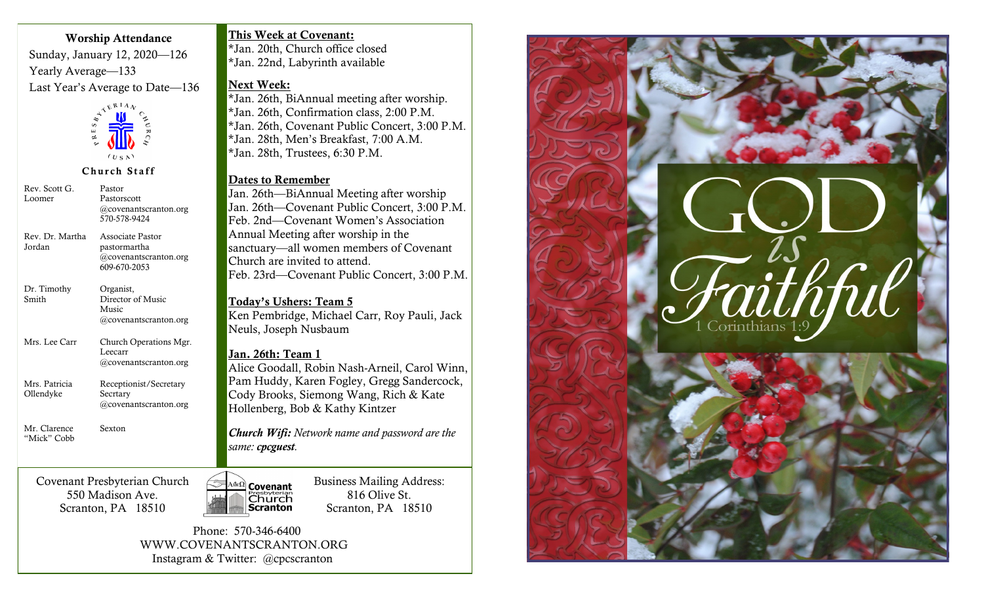#### **Worship Attendance**

Sunday, January 12, 2020—126 Yearly Average—133 Last Year's Average to Date—136



#### **Church Staff**

| Rev. Scott G.<br>Loomer      | Pastor<br>Pastorscott<br>@covenantscranton.org<br>570-578-9424            |  |  |  |
|------------------------------|---------------------------------------------------------------------------|--|--|--|
| Rev. Dr. Martha<br>Jordan    | Associate Pastor<br>pastormartha<br>@covenantscranton.org<br>609-670-2053 |  |  |  |
| Dr. Timothy<br>Smith         | Organist,<br>Director of Music<br>Music<br>@covenantscranton.org          |  |  |  |
| Mrs. Lee Carr                | Church Operations Mgr.<br>Leecarr<br>@covenantscranton.org                |  |  |  |
| Mrs. Patricia<br>Ollendyke   | Receptionist/Secretary<br>Secrtary<br>@covenantscranton.org               |  |  |  |
| Mr. Clarence<br>"Mick" Cobb  | Sexton                                                                    |  |  |  |
| Covenant Presbyterian Church |                                                                           |  |  |  |

550 Madison Ave. Scranton, PA 18510 **This Week at Covenant:**

\*Jan. 20th, Church office closed \*Jan. 22nd, Labyrinth available

#### **Next Week:**

\*Jan. 26th, BiAnnual meeting after worship. \*Jan. 26th, Confirmation class, 2:00 P.M. \*Jan. 26th, Covenant Public Concert, 3:00 P.M. \*Jan. 28th, Men's Breakfast, 7:00 A.M. \*Jan. 28th, Trustees, 6:30 P.M.

#### **Dates to Remember**

Jan. 26th—BiAnnual Meeting after worship Jan. 26th—Covenant Public Concert, 3:00 P.M. Feb. 2nd—Covenant Women's Association Annual Meeting after worship in the sanctuary—all women members of Covenant Church are invited to attend. Feb. 23rd—Covenant Public Concert, 3:00 P.M.

# **Today's Ushers: Team 5**

Ken Pembridge, Michael Carr, Roy Pauli, Jack Neuls, Joseph Nusbaum

#### **Jan. 26th: Team 1**

Alice Goodall, Robin Nash-Arneil, Carol Winn, Pam Huddy, Karen Fogley, Gregg Sandercock, Cody Brooks, Siemong Wang, Rich & Kate Hollenberg, Bob & Kathy Kintzer

*Church Wifi: Network name and password are the same: cpcguest.* 

Business Mailing Address: **Covenant** 816 Olive St. *Presbyterian*<br>**Church**<br>**Scranton** Scranton, PA 18510

 Phone: 570-346-6400 WWW.COVENANTSCRANTON.ORG Instagram & Twitter: @cpcscranton

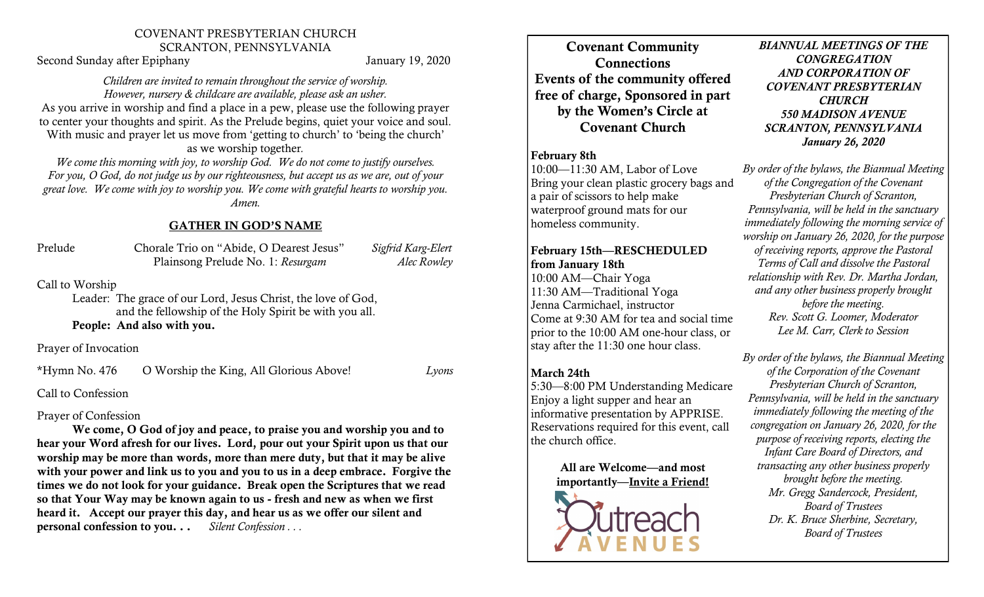#### COVENANT PRESBYTERIAN CHURCH SCRANTON, PENNSYLVANIA

Second Sunday after Epiphany January 19, 2020

#### *Children are invited to remain throughout the service of worship. However, nursery & childcare are available, please ask an usher.*

As you arrive in worship and find a place in a pew, please use the following prayer to center your thoughts and spirit. As the Prelude begins, quiet your voice and soul. With music and prayer let us move from 'getting to church' to 'being the church'

as we worship together*.*

*We come this morning with joy, to worship God. We do not come to justify ourselves. For you, O God, do not judge us by our righteousness, but accept us as we are, out of your great love. We come with joy to worship you. We come with grateful hearts to worship you. Amen.* 

# **GATHER IN GOD'S NAME**

| Prelude | Chorale Trio on "Abide, O Dearest Jesus" | Sigfrid Karg-Elert |
|---------|------------------------------------------|--------------------|
|         | Plainsong Prelude No. 1: Resurgam        | Alec Rowley        |

Call to Worship

Leader: The grace of our Lord, Jesus Christ, the love of God, and the fellowship of the Holy Spirit be with you all. **People: And also with you.**

Prayer of Invocation

\*Hymn No. 476 O Worship the King, All Glorious Above! *Lyons*

Call to Confession

# Prayer of Confession

**We come, O God of joy and peace, to praise you and worship you and to hear your Word afresh for our lives. Lord, pour out your Spirit upon us that our worship may be more than words, more than mere duty, but that it may be alive with your power and link us to you and you to us in a deep embrace. Forgive the times we do not look for your guidance. Break open the Scriptures that we read so that Your Way may be known again to us - fresh and new as when we first heard it. Accept our prayer this day, and hear us as we offer our silent and personal confession to you. . .** *Silent Confession . . .* 

**Covenant Community Connections Events of the community offered free of charge, Sponsored in part by the Women's Circle at Covenant Church**

## **February 8th**

10:00—11:30 AM, Labor of Love Bring your clean plastic grocery bags and a pair of scissors to help make waterproof ground mats for our homeless community.

# **February 15th—RESCHEDULED from January 18th**

10:00 AM—Chair Yoga 11:30 AM—Traditional Yoga Jenna Carmichael, instructor Come at 9:30 AM for tea and social time prior to the 10:00 AM one-hour class, or stay after the 11:30 one hour class.

# **March 24th**

5:30—8:00 PM Understanding Medicare Enjoy a light supper and hear an informative presentation by APPRISE. Reservations required for this event, call the church office.

> **All are Welcome—and most importantly—Invite a Friend!**



*BIANNUAL MEETINGS OF THE CONGREGATION AND CORPORATION OF COVENANT PRESBYTERIAN CHURCH 550 MADISON AVENUE SCRANTON, PENNSYLVANIA January 26, 2020*

*By order of the bylaws, the Biannual Meeting of the Congregation of the Covenant Presbyterian Church of Scranton, Pennsylvania, will be held in the sanctuary immediately following the morning service of worship on January 26, 2020, for the purpose of receiving reports, approve the Pastoral Terms of Call and dissolve the Pastoral relationship with Rev. Dr. Martha Jordan, and any other business properly brought before the meeting. Rev. Scott G. Loomer, Moderator Lee M. Carr, Clerk to Session*

*By order of the bylaws, the Biannual Meeting of the Corporation of the Covenant Presbyterian Church of Scranton, Pennsylvania, will be held in the sanctuary immediately following the meeting of the congregation on January 26, 2020, for the purpose of receiving reports, electing the Infant Care Board of Directors, and transacting any other business properly brought before the meeting. Mr. Gregg Sandercock, President, Board of Trustees Dr. K. Bruce Sherbine, Secretary, Board of Trustees*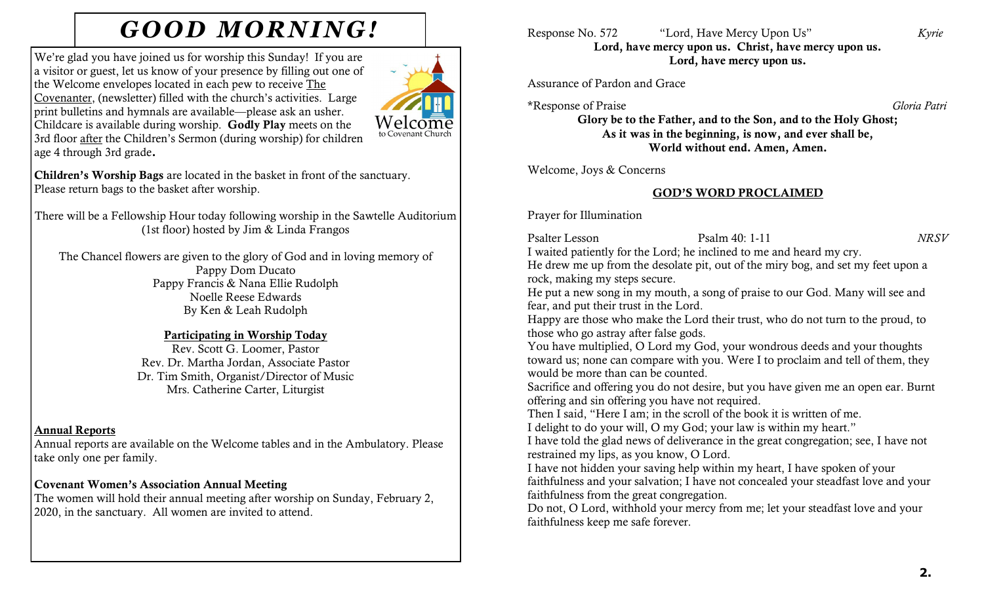# *GOOD MORNING!* Response No. 572 "Lord, Have Mercy Upon Us" *Kyrie*

We're glad you have joined us for worship this Sunday! If you are a visitor or guest, let us know of your presence by filling out one of the Welcome envelopes located in each pew to receive The Covenanter, (newsletter) filled with the church's activities. Large print bulletins and hymnals are available—please ask an usher. Childcare is available during worship. **Godly Play** meets on the 3rd floor after the Children's Sermon (during worship) for children age 4 through 3rd grade**.** 



**Children's Worship Bags** are located in the basket in front of the sanctuary. Please return bags to the basket after worship.

There will be a Fellowship Hour today following worship in the Sawtelle Auditorium (1st floor) hosted by Jim & Linda Frangos

The Chancel flowers are given to the glory of God and in loving memory of Pappy Dom Ducato Pappy Francis & Nana Ellie Rudolph Noelle Reese Edwards By Ken & Leah Rudolph

## **Participating in Worship Today**

Rev. Scott G. Loomer, Pastor Rev. Dr. Martha Jordan, Associate Pastor Dr. Tim Smith, Organist/Director of Music Mrs. Catherine Carter, Liturgist

#### **Annual Reports**

Annual reports are available on the Welcome tables and in the Ambulatory. Please take only one per family.

# **Covenant Women's Association Annual Meeting**

The women will hold their annual meeting after worship on Sunday, February 2, 2020, in the sanctuary. All women are invited to attend.

**Lord, have mercy upon us. Christ, have mercy upon us. Lord, have mercy upon us.**

# Assurance of Pardon and Grace

\*Response of Praise *Gloria Patri*

**Glory be to the Father, and to the Son, and to the Holy Ghost; As it was in the beginning, is now, and ever shall be, World without end. Amen, Amen.**

Welcome, Joys & Concerns

# **GOD'S WORD PROCLAIMED**

Prayer for Illumination

Psalter Lesson Psalm 40: 1-11 *NRSV*

I waited patiently for the Lord; he inclined to me and heard my cry.

He drew me up from the desolate pit, out of the miry bog, and set my feet upon a rock, making my steps secure.

He put a new song in my mouth, a song of praise to our God. Many will see and fear, and put their trust in the Lord.

Happy are those who make the Lord their trust, who do not turn to the proud, to those who go astray after false gods.

You have multiplied, O Lord my God, your wondrous deeds and your thoughts toward us; none can compare with you. Were I to proclaim and tell of them, they would be more than can be counted.

Sacrifice and offering you do not desire, but you have given me an open ear. Burnt offering and sin offering you have not required.

Then I said, "Here I am; in the scroll of the book it is written of me.

I delight to do your will, O my God; your law is within my heart."

I have told the glad news of deliverance in the great congregation; see, I have not restrained my lips, as you know, O Lord.

I have not hidden your saving help within my heart, I have spoken of your faithfulness and your salvation; I have not concealed your steadfast love and your faithfulness from the great congregation.

Do not, O Lord, withhold your mercy from me; let your steadfast love and your faithfulness keep me safe forever.